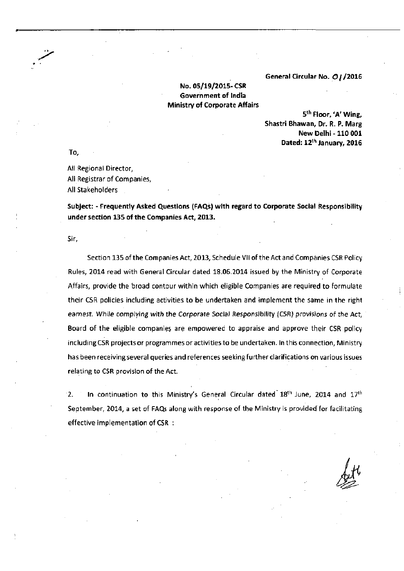**General Circular No. 0 / /2016** 

## **No. 05/19/2015- CSR Government of India Ministry of Corporate Affairs**

**5 th Floor, 'A' Wing, Shastri Bhawan, Dr. R. P. Marg New Delhi -110 001 Dated: 12th January, 2016** 

To,

All Regional Director, All Registrar of Companies, All Stakeholders

**Subject: - Frequently Asked Questions (FAQs) with regard to Corporate Social Responsibility under section 135 of the Companies Act, 2013.** 

Sir,

Section 135 of the Companies Act, 2013, Schedule VII of the Act and Companies CSR Policy Rules, 2014 read with General Circular dated 18.06.2014 issued by the Ministry of Corporate Affairs, provide the broad contour within which eligible Companies are required to formulate their CSR policies including activities to be undertaken and implement the same in the right earnest. While complying with the Corporate Social Responsibility (CSR) provisions of the Act, Board of the eligible companies are empowered to appraise and approve their CSR policy including CSR projects or programmes or activities to be undertaken. In this connection. Ministry has been receiving several queries and references seeking further clarifications on various issues relating to CSR provision of the Act.

2. In continuation to this Ministry's General Circular dated  $18<sup>th</sup>$  June, 2014 and  $17<sup>th</sup>$ September, 2014, a set of FAQs along with response of the Ministry is provided'for facilitating effective implementation of CSR :

 $k$  **k**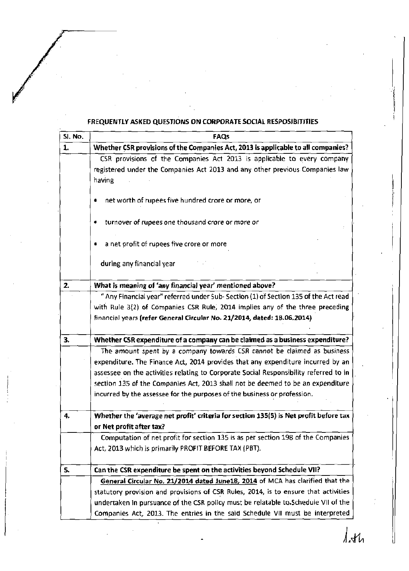## **FREQUENTLY ASKED QUESTIONS ON CORPORATE SOCIAL RESPOSIBITITIES**

| SI, No. | FAQS                                                                                  |
|---------|---------------------------------------------------------------------------------------|
| 1.      | Whether CSR provisions of the Companies Act, 2013 is applicable to all companies?     |
|         | CSR provisions of the Companies Act 2013 is applicable to every company               |
|         | registered under the Companies Act 2013 and any other previous Companies law          |
|         | having                                                                                |
|         | net worth of rupees five hundred crore or more, or                                    |
|         |                                                                                       |
|         | turnover of rupees one thousand crore or more or                                      |
|         | a net profit of rupees five crore or more                                             |
|         | during any financial year                                                             |
|         |                                                                                       |
| 2.      | What is meaning of 'any financial year' mentioned above?                              |
|         | " Any Financial year" referred under Sub-Section (1) of Section 135 of the Act read   |
|         | with Rule 3(2) of Companies CSR Rule, 2014 implies any of the three preceding         |
|         | financial years (refer General Circular No. 21/2014, dated: 18.06.2014)               |
| 3.      | Whether CSR expenditure of a company can be claimed as a business expenditure?        |
|         | The amount spent by a company towards CSR cannot be claimed as business               |
|         | expenditure. The Finance Act, 2014 provides that any expenditure incurred by an       |
|         | assessee on the activities relating to Corporate Social Responsibility referred to in |
|         | section 135 of the Companies Act, 2013 shall not be deemed to be an expenditure       |
|         | incurred by the assessee for the purposes of the business or profession.              |
|         |                                                                                       |
| 4.      | Whether the 'average net profit' criteria for section 135(5) is Net profit before tax |
|         | or Net profit after tax?                                                              |
|         | Computation of net profit for section 135 is as per section 198 of the Companies      |
|         | Act, 2013 which is primarily PROFIT BEFORE TAX (PBT).                                 |
| 5.      | Can the CSR expenditure be spent on the activities beyond Schedule VII?               |
|         | General Circular No. 21/2014 dated June18, 2014 of MCA has clarified that the         |
|         | statutory provision and provisions of CSR Rules, 2014, is to ensure that activities   |
|         | undertaken in pursuance of the CSR policy must be relatable to Schedule VII of the    |
|         | Companies Act, 2013. The entries in the said Schedule VII must be interpreted         |

 $\int dA$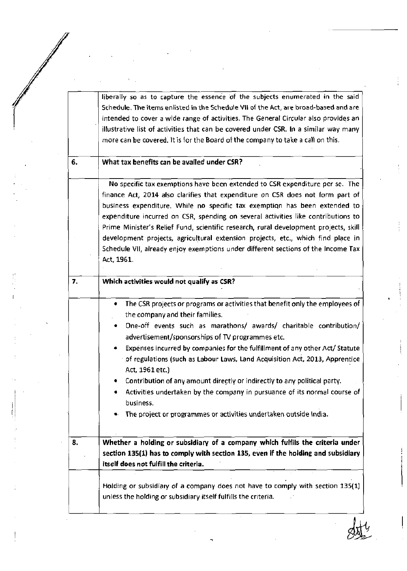liberally so as to capture the essence of the subjects enumerated in the said Schedule. The items enlisted in the Schedule VII of the Act, are broad-based and are intended to cover a wide range of activities. The General Circular also provides an illustrative list of activities that can be covered under CSR. In a similar way many more can be covered. It is for the Board of the company to take a call on this.

## **What tax benefits can be availed under CSR?**

6.

No specific tax exemptions have been extended to CSR expenditure per se. The finance Act, 2014 also clarifies that expenditure on CSR does not form part of business expenditure. While no specific tax exemption has been extended to expenditure incurred on CSR, spending on several activities like contributions to Prime Minister's Relief Fund, scientific research, rural development projects, skill development projects, agricultural extension projects, etc., which find place in Schedule VII, already enjoy exemptions under different sections of the Income Tax Act, 1961.

| 7. | Which activities would not qualify as CSR?                                                                                                                                                                                                                                                                                                                                                                                                                                                                                                                                                                                                                                           |
|----|--------------------------------------------------------------------------------------------------------------------------------------------------------------------------------------------------------------------------------------------------------------------------------------------------------------------------------------------------------------------------------------------------------------------------------------------------------------------------------------------------------------------------------------------------------------------------------------------------------------------------------------------------------------------------------------|
|    | The CSR projects or programs or activities that benefit only the employees of<br>٠<br>the company and their families.<br>One-off events such as marathons/ awards/ charitable contribution/<br>advertisement/sponsorships of TV programmes etc.<br>Expenses incurred by companies for the fulfillment of any other Act/ Statute<br>of regulations (such as Labour Laws, Land Acquisition Act, 2013, Apprentice<br>Act, 1961 etc.)<br>Contribution of any amount directly or indirectly to any political party.<br>Activities undertaken by the company in pursuance of its normal course of<br>٠<br>business.<br>• The project or programmes or activities undertaken outside India. |
| 8. | Whether a holding or subsidiary of a company which fulfils the criteria under<br>section 135(1) has to comply with section 135, even if the holding and subsidiary<br>itself does not fulfill the criteria.                                                                                                                                                                                                                                                                                                                                                                                                                                                                          |

Holding or subsidiary of a company does not have to comply with section 135(1) unless the holding or subsidiary itself fulfills the criteria.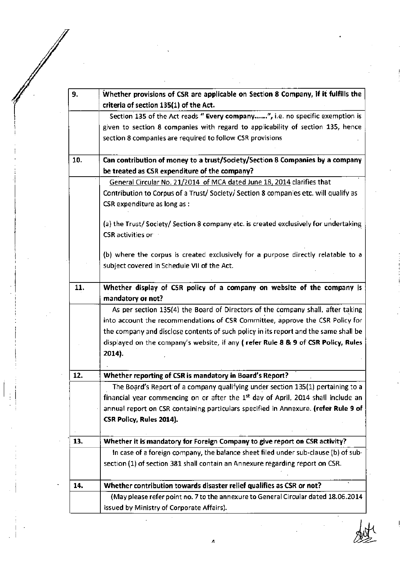| 9.  | Whether provisions of CSR are applicable on Section 8 Company, if it fulfills the                                                                                                   |
|-----|-------------------------------------------------------------------------------------------------------------------------------------------------------------------------------------|
|     | criteria of section 135(1) of the Act.                                                                                                                                              |
|     | Section 135 of the Act reads "Every company", i.e. no specific exemption is                                                                                                         |
|     | given to section 8 companies with regard to applicability of section 135, hence                                                                                                     |
|     | section 8 companies are required to follow CSR provisions                                                                                                                           |
| 10. | Can contribution of money to a trust/Society/Section 8 Companies by a company                                                                                                       |
|     | be treated as CSR expenditure of the company?                                                                                                                                       |
|     | General Circular No. 21/2014 of MCA dated June 18, 2014 clarifies that                                                                                                              |
|     | Contribution to Corpus of a Trust/ Society/ Section 8 companies etc. will qualify as<br>CSR expenditure as long as :                                                                |
|     | (a) the Trust/Society/Section 8 company etc. is created exclusively for undertaking<br>CSR activities or                                                                            |
|     | (b) where the corpus is created exclusively for a purpose directly relatable to a<br>subject covered in Schedule VII of the Act.                                                    |
| 11. | Whether display of CSR policy of a company on website of the company is<br>mandatory or not?                                                                                        |
|     | As per section 135(4) the Board of Directors of the company shall, after taking<br>into account the recommendations of CSR Committee, approve the CSR Policy for                    |
|     | the company and disclose contents of such policy in its report and the same shall be<br>displayed on the company's website, if any (refer Rule 8 & 9 of CSR Policy, Rules<br>2014). |
|     |                                                                                                                                                                                     |
| 12. | Whether reporting of CSR is mandatory in Board's Report?                                                                                                                            |
|     | The Board's Report of a company qualifying under section 135(1) pertaining to a                                                                                                     |
|     | financial year commencing on or after the 1 <sup>st</sup> day of April, 2014 shall include an                                                                                       |
|     | annual report on CSR containing particulars specified in Annexure. (refer Rule 9 of                                                                                                 |
|     | CSR Policy, Rules 2014).                                                                                                                                                            |
| 13. | Whether it is mandatory for Foreign Company to give report on CSR activity?                                                                                                         |
|     | In case of a foreign company, the balance sheet filed under sub-clause (b) of sub-                                                                                                  |
|     | section (1) of section 381 shall contain an Annexure regarding report on CSR.                                                                                                       |
| 14. | Whether contribution towards disaster relief qualifies as CSR or not?                                                                                                               |
|     | (May please refer point no. 7 to the annexure to General Circular dated 18.06.2014<br>issued by Ministry of Corporate Affairs).                                                     |

 $\ddot{\phantom{0}}$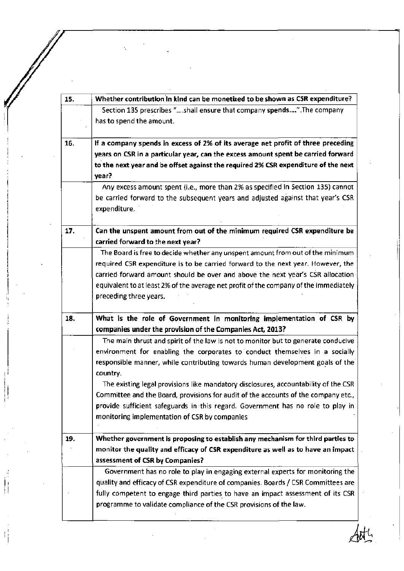**15. 16. 17. 18. 19. Whether contribution in kind can be monetized to be shown as CSR expenditure?**  Section 135 prescribes "....shall ensure that company spends....".The company has to spend the amount. **if a company spends in excess of 2% of its average net profit of three preceding years on CSR in a particular year, can the excess amount spent be carried forward to the next year and be offset against the required 2% CSR expenditure of the next year?**  Any excess amount spent (i.e., more than 2% as specified in Section 135) cannot be carried forward to the subsequent years and adjusted against that year's CSR expenditure. **Can the unspent amount from out of the minimum required CSR expenditure be carried forward to the next year?**  The Board is free to decide whether any unspent amount from out of the minimum required C5R expenditure is to be carried forward to the next year. However, the carried forward amount should be over and above the next year's CSR allocation equivalent to at least 2% of the average net profit of the company of the immediately preceding three years. **What is the role of Government in monitoring implementation of CSR by companies under the provision of the Companies Act, 2013?**  The main thrust and spirit of the law is not to monitor but to generate conducive environment for enabling the corporates to conduct themselves in a socially responsible manner, while contributing towards human development goals of the country. The existing legal provisions like mandatory disclosures, accountability of the CSR Committee and the Board, provisions for audit of the accounts of the company etc., provide sufficient safeguards in this regard. Government has no role to play in monitoring implementation of CSR by companies **Whether government is proposing to establish any mechanism for third parties to monitor the quality and efficacy of CSR expenditure as well as to have an impact assessment of CSR by Companies?**  Government has no role to play in engaging external experts for monitoring the quality and efficacy of CSR expenditure of companies. Boards / CSR Committees are fully competent to engage third parties to have an impact assessment of its CSR programme to validate compliance of the CSR provisions of the law.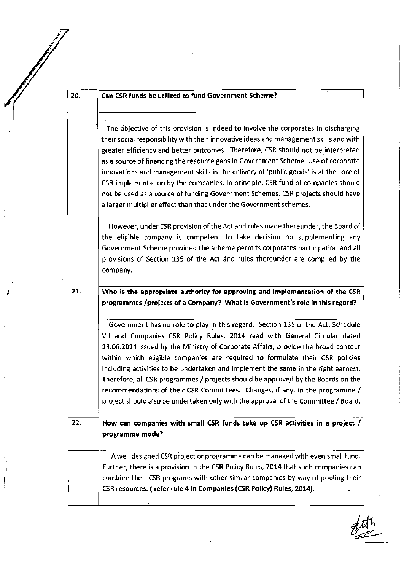| 20. | Can CSR funds be utilized to fund Government Scheme?                                                                                                                                                                                                                                                                                                                                                                                                                                                                                                                                                                                                                                       |
|-----|--------------------------------------------------------------------------------------------------------------------------------------------------------------------------------------------------------------------------------------------------------------------------------------------------------------------------------------------------------------------------------------------------------------------------------------------------------------------------------------------------------------------------------------------------------------------------------------------------------------------------------------------------------------------------------------------|
|     | The objective of this provision is indeed to Involve the corporates in discharging<br>their social responsibility with their innovative ideas and management skills and with<br>greater efficiency and better outcomes. Therefore, CSR should not be interpreted<br>as a source of financing the resource gaps in Government Scheme. Use of corporate<br>innovations and management skills in the delivery of 'public goods' is at the core of<br>CSR implementation by the companies. In-principle, CSR fund of companies should<br>not be used as a source of funding Government Schemes. CSR projects should have<br>a larger multiplier effect than that under the Government schemes. |
|     | However, under CSR provision of the Act and rules made thereunder, the Board of<br>the eligible company is competent to take decision on supplementing any<br>Government Scheme provided the scheme permits corporates participation and all<br>provisions of Section 135 of the Act and rules thereunder are compiled by the<br>company.                                                                                                                                                                                                                                                                                                                                                  |
| 21. | Who is the appropriate authority for approving and implementation of the CSR<br>programmes /projects of a Company? What is Government's role in this regard?                                                                                                                                                                                                                                                                                                                                                                                                                                                                                                                               |
|     | Government has no role to play in this regard. Section 135 of the Act, Schedule<br>VII and Companies CSR Policy Rules, 2014 read with General Circular dated<br>18.06.2014 issued by the Ministry of Corporate Affairs, provide the broad contour<br>within which eligible companies are required to formulate their CSR policies<br>including activities to be undertaken and implement the same in the right earnest.<br>Therefore, all CSR programmes / projects should be approved by the Boards on the<br>recommendations of their CSR Committees. Changes, if any, in the programme /<br>project should also be undertaken only with the approval of the Committee / Board.          |
| 22. | How can companies with small CSR funds take up CSR activities in a project /<br>programme mode?                                                                                                                                                                                                                                                                                                                                                                                                                                                                                                                                                                                            |
|     | A well designed CSR project or programme can be managed with even small fund.<br>Further, there is a provision in the CSR Policy Rules, 2014 that such companies can<br>combine their CSR programs with other similar companies by way of pooling their                                                                                                                                                                                                                                                                                                                                                                                                                                    |